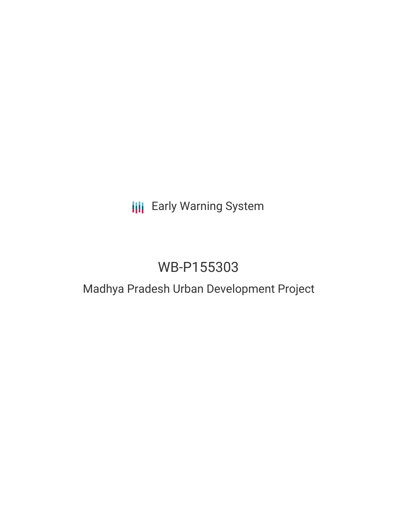# **III** Early Warning System

# WB-P155303

## Madhya Pradesh Urban Development Project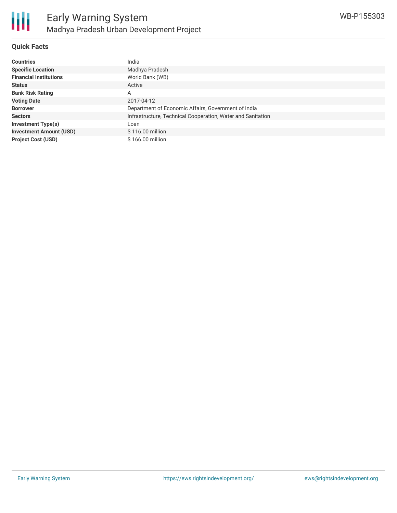

#### **Quick Facts**

| <b>Countries</b>               | India                                                       |
|--------------------------------|-------------------------------------------------------------|
| <b>Specific Location</b>       | Madhya Pradesh                                              |
| <b>Financial Institutions</b>  | World Bank (WB)                                             |
| <b>Status</b>                  | Active                                                      |
| <b>Bank Risk Rating</b>        | Α                                                           |
| <b>Voting Date</b>             | 2017-04-12                                                  |
| <b>Borrower</b>                | Department of Economic Affairs, Government of India         |
| <b>Sectors</b>                 | Infrastructure, Technical Cooperation, Water and Sanitation |
| <b>Investment Type(s)</b>      | Loan                                                        |
| <b>Investment Amount (USD)</b> | \$116.00 million                                            |
| <b>Project Cost (USD)</b>      | \$166,00 million                                            |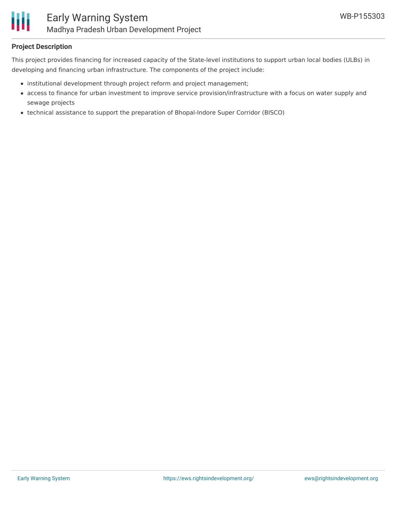

## **Project Description**

This project provides financing for increased capacity of the State-level institutions to support urban local bodies (ULBs) in developing and financing urban infrastructure. The components of the project include:

- institutional development through project reform and project management;
- access to finance for urban investment to improve service provision/infrastructure with a focus on water supply and sewage projects
- technical assistance to support the preparation of Bhopal-Indore Super Corridor (BISCO)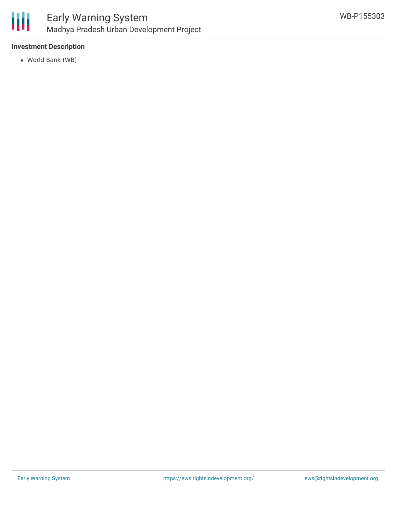

## **Investment Description**

World Bank (WB)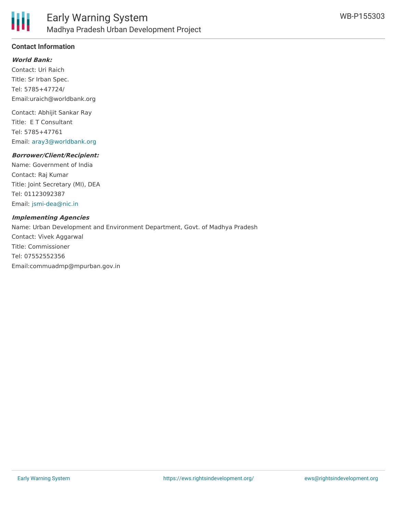

## **Contact Information**

#### **World Bank:**

Contact: Uri Raich Title: Sr Irban Spec. Tel: 5785+47724/ Email:uraich@worldbank.org

Contact: Abhijit Sankar Ray Title: E T Consultant Tel: 5785+47761 Email: [aray3@worldbank.org](mailto:aray3@worldbank.org)

#### **Borrower/Client/Recipient:**

Name: Government of India Contact: Raj Kumar Title: Joint Secretary (MI), DEA Tel: 01123092387 Email: [jsmi-dea@nic.in](mailto:jsmi-dea@nic.in)

#### **Implementing Agencies**

Name: Urban Development and Environment Department, Govt. of Madhya Pradesh Contact: Vivek Aggarwal Title: Commissioner Tel: 07552552356 Email:commuadmp@mpurban.gov.in